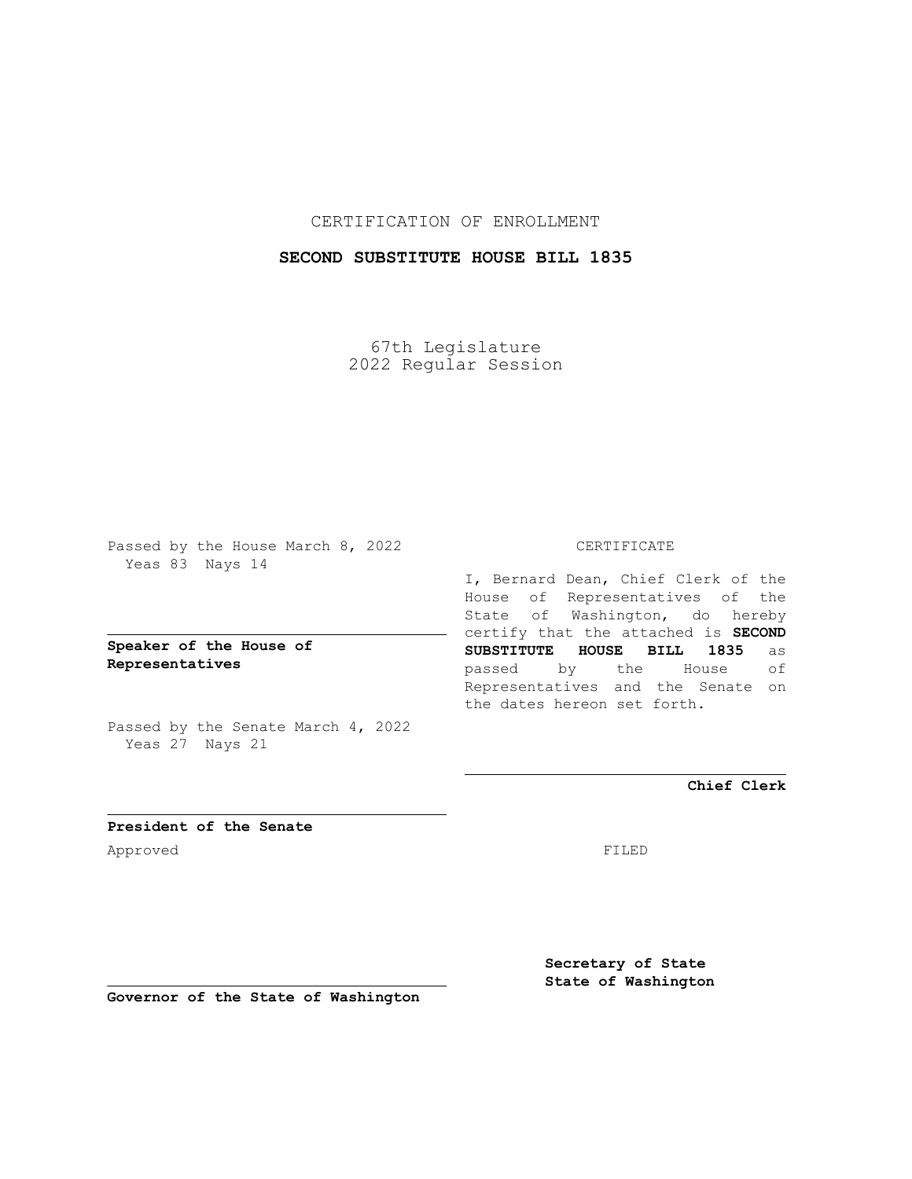CERTIFICATION OF ENROLLMENT

## **SECOND SUBSTITUTE HOUSE BILL 1835**

67th Legislature 2022 Regular Session

Passed by the House March 8, 2022 Yeas 83 Nays 14

**Speaker of the House of Representatives**

Passed by the Senate March 4, 2022 Yeas 27 Nays 21

## CERTIFICATE

I, Bernard Dean, Chief Clerk of the House of Representatives of the State of Washington, do hereby certify that the attached is **SECOND SUBSTITUTE HOUSE BILL 1835** as passed by the House of Representatives and the Senate on the dates hereon set forth.

**Chief Clerk**

**President of the Senate** Approved FILED

**Secretary of State State of Washington**

**Governor of the State of Washington**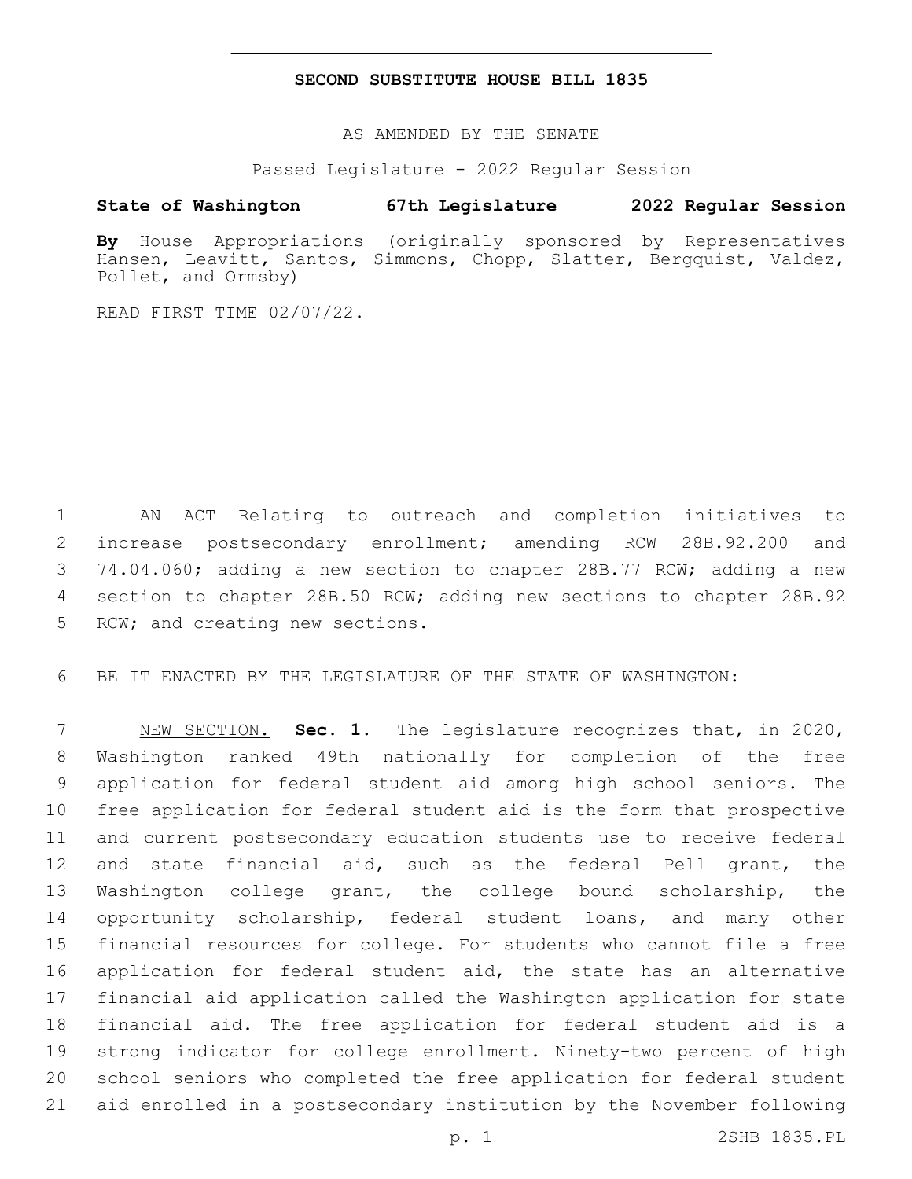## **SECOND SUBSTITUTE HOUSE BILL 1835**

AS AMENDED BY THE SENATE

Passed Legislature - 2022 Regular Session

## **State of Washington 67th Legislature 2022 Regular Session**

**By** House Appropriations (originally sponsored by Representatives Hansen, Leavitt, Santos, Simmons, Chopp, Slatter, Bergquist, Valdez, Pollet, and Ormsby)

READ FIRST TIME 02/07/22.

 AN ACT Relating to outreach and completion initiatives to increase postsecondary enrollment; amending RCW 28B.92.200 and 74.04.060; adding a new section to chapter 28B.77 RCW; adding a new section to chapter 28B.50 RCW; adding new sections to chapter 28B.92 5 RCW; and creating new sections.

BE IT ENACTED BY THE LEGISLATURE OF THE STATE OF WASHINGTON:

 NEW SECTION. **Sec. 1.** The legislature recognizes that, in 2020, Washington ranked 49th nationally for completion of the free application for federal student aid among high school seniors. The free application for federal student aid is the form that prospective and current postsecondary education students use to receive federal and state financial aid, such as the federal Pell grant, the Washington college grant, the college bound scholarship, the 14 opportunity scholarship, federal student loans, and many other financial resources for college. For students who cannot file a free application for federal student aid, the state has an alternative financial aid application called the Washington application for state financial aid. The free application for federal student aid is a strong indicator for college enrollment. Ninety-two percent of high school seniors who completed the free application for federal student aid enrolled in a postsecondary institution by the November following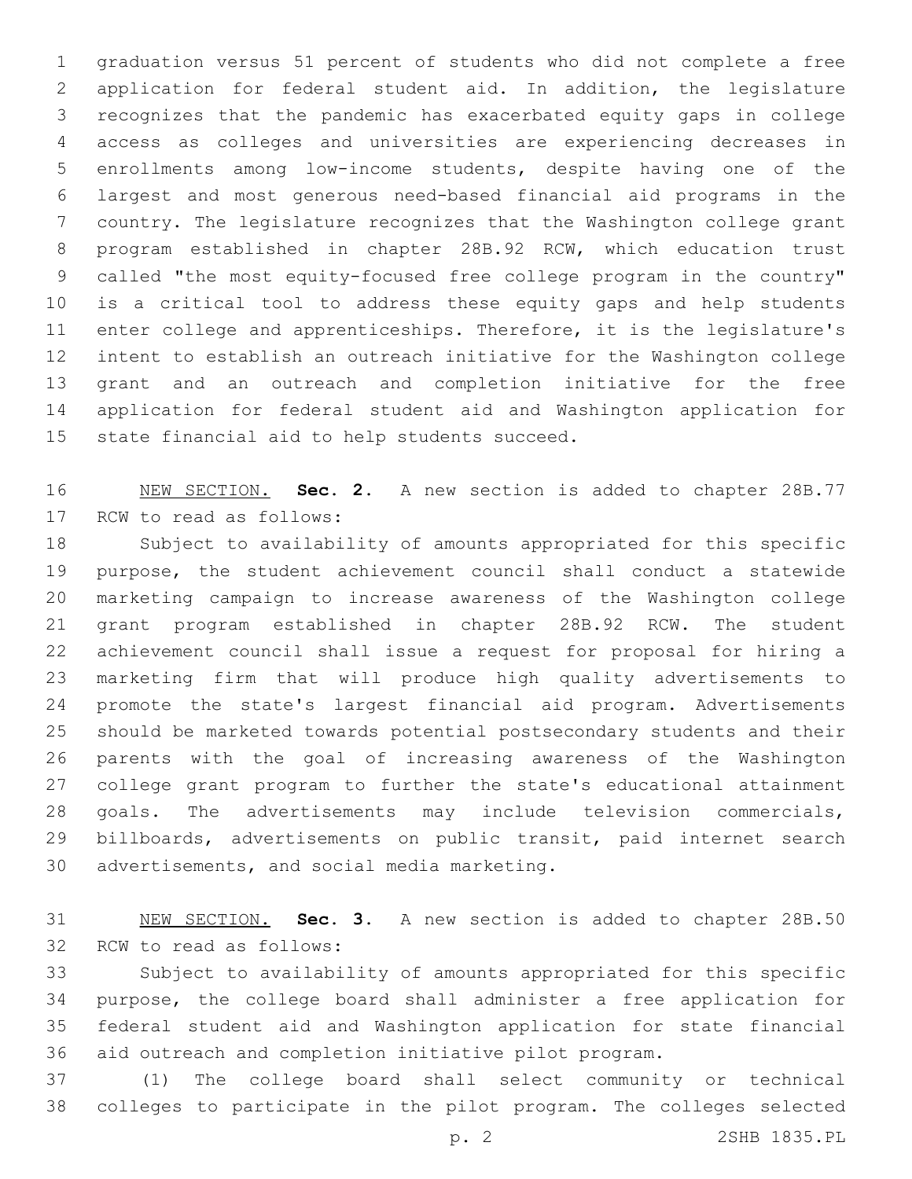graduation versus 51 percent of students who did not complete a free application for federal student aid. In addition, the legislature recognizes that the pandemic has exacerbated equity gaps in college access as colleges and universities are experiencing decreases in enrollments among low-income students, despite having one of the largest and most generous need-based financial aid programs in the country. The legislature recognizes that the Washington college grant program established in chapter 28B.92 RCW, which education trust called "the most equity-focused free college program in the country" is a critical tool to address these equity gaps and help students enter college and apprenticeships. Therefore, it is the legislature's intent to establish an outreach initiative for the Washington college grant and an outreach and completion initiative for the free application for federal student aid and Washington application for 15 state financial aid to help students succeed.

 NEW SECTION. **Sec. 2.** A new section is added to chapter 28B.77 17 RCW to read as follows:

 Subject to availability of amounts appropriated for this specific purpose, the student achievement council shall conduct a statewide marketing campaign to increase awareness of the Washington college grant program established in chapter 28B.92 RCW. The student achievement council shall issue a request for proposal for hiring a marketing firm that will produce high quality advertisements to promote the state's largest financial aid program. Advertisements should be marketed towards potential postsecondary students and their parents with the goal of increasing awareness of the Washington college grant program to further the state's educational attainment goals. The advertisements may include television commercials, billboards, advertisements on public transit, paid internet search 30 advertisements, and social media marketing.

 NEW SECTION. **Sec. 3.** A new section is added to chapter 28B.50 32 RCW to read as follows:

 Subject to availability of amounts appropriated for this specific purpose, the college board shall administer a free application for federal student aid and Washington application for state financial aid outreach and completion initiative pilot program.

 (1) The college board shall select community or technical colleges to participate in the pilot program. The colleges selected

p. 2 2SHB 1835.PL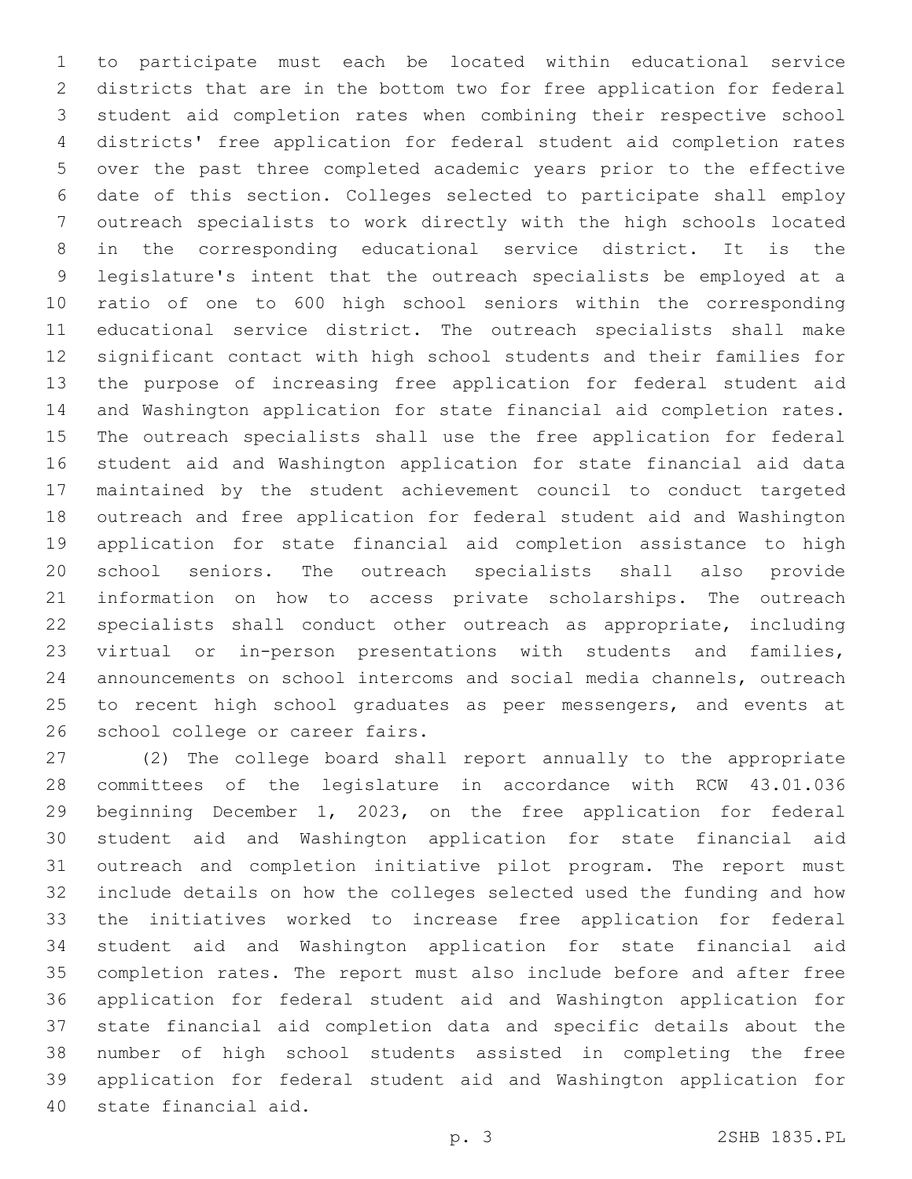to participate must each be located within educational service districts that are in the bottom two for free application for federal student aid completion rates when combining their respective school districts' free application for federal student aid completion rates over the past three completed academic years prior to the effective date of this section. Colleges selected to participate shall employ outreach specialists to work directly with the high schools located in the corresponding educational service district. It is the legislature's intent that the outreach specialists be employed at a ratio of one to 600 high school seniors within the corresponding educational service district. The outreach specialists shall make significant contact with high school students and their families for the purpose of increasing free application for federal student aid and Washington application for state financial aid completion rates. The outreach specialists shall use the free application for federal student aid and Washington application for state financial aid data maintained by the student achievement council to conduct targeted outreach and free application for federal student aid and Washington application for state financial aid completion assistance to high school seniors. The outreach specialists shall also provide information on how to access private scholarships. The outreach specialists shall conduct other outreach as appropriate, including virtual or in-person presentations with students and families, announcements on school intercoms and social media channels, outreach 25 to recent high school graduates as peer messengers, and events at 26 school college or career fairs.

 (2) The college board shall report annually to the appropriate committees of the legislature in accordance with RCW 43.01.036 beginning December 1, 2023, on the free application for federal student aid and Washington application for state financial aid outreach and completion initiative pilot program. The report must include details on how the colleges selected used the funding and how the initiatives worked to increase free application for federal student aid and Washington application for state financial aid completion rates. The report must also include before and after free application for federal student aid and Washington application for state financial aid completion data and specific details about the number of high school students assisted in completing the free application for federal student aid and Washington application for 40 state financial aid.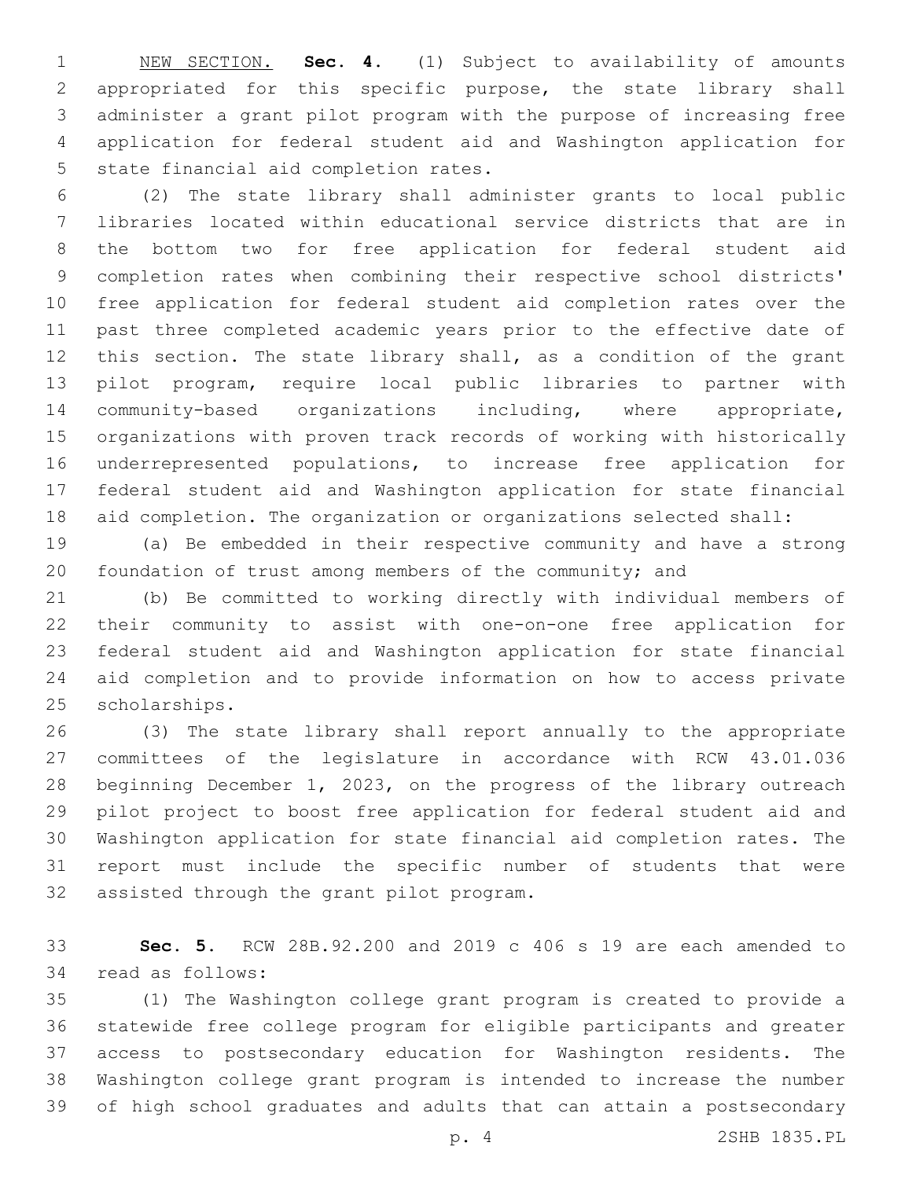NEW SECTION. **Sec. 4.** (1) Subject to availability of amounts appropriated for this specific purpose, the state library shall administer a grant pilot program with the purpose of increasing free application for federal student aid and Washington application for state financial aid completion rates.

 (2) The state library shall administer grants to local public libraries located within educational service districts that are in the bottom two for free application for federal student aid completion rates when combining their respective school districts' free application for federal student aid completion rates over the past three completed academic years prior to the effective date of this section. The state library shall, as a condition of the grant pilot program, require local public libraries to partner with community-based organizations including, where appropriate, organizations with proven track records of working with historically underrepresented populations, to increase free application for federal student aid and Washington application for state financial aid completion. The organization or organizations selected shall:

 (a) Be embedded in their respective community and have a strong foundation of trust among members of the community; and

 (b) Be committed to working directly with individual members of their community to assist with one-on-one free application for federal student aid and Washington application for state financial aid completion and to provide information on how to access private 25 scholarships.

 (3) The state library shall report annually to the appropriate committees of the legislature in accordance with RCW 43.01.036 beginning December 1, 2023, on the progress of the library outreach pilot project to boost free application for federal student aid and Washington application for state financial aid completion rates. The report must include the specific number of students that were 32 assisted through the grant pilot program.

 **Sec. 5.** RCW 28B.92.200 and 2019 c 406 s 19 are each amended to 34 read as follows:

 (1) The Washington college grant program is created to provide a statewide free college program for eligible participants and greater access to postsecondary education for Washington residents. The Washington college grant program is intended to increase the number of high school graduates and adults that can attain a postsecondary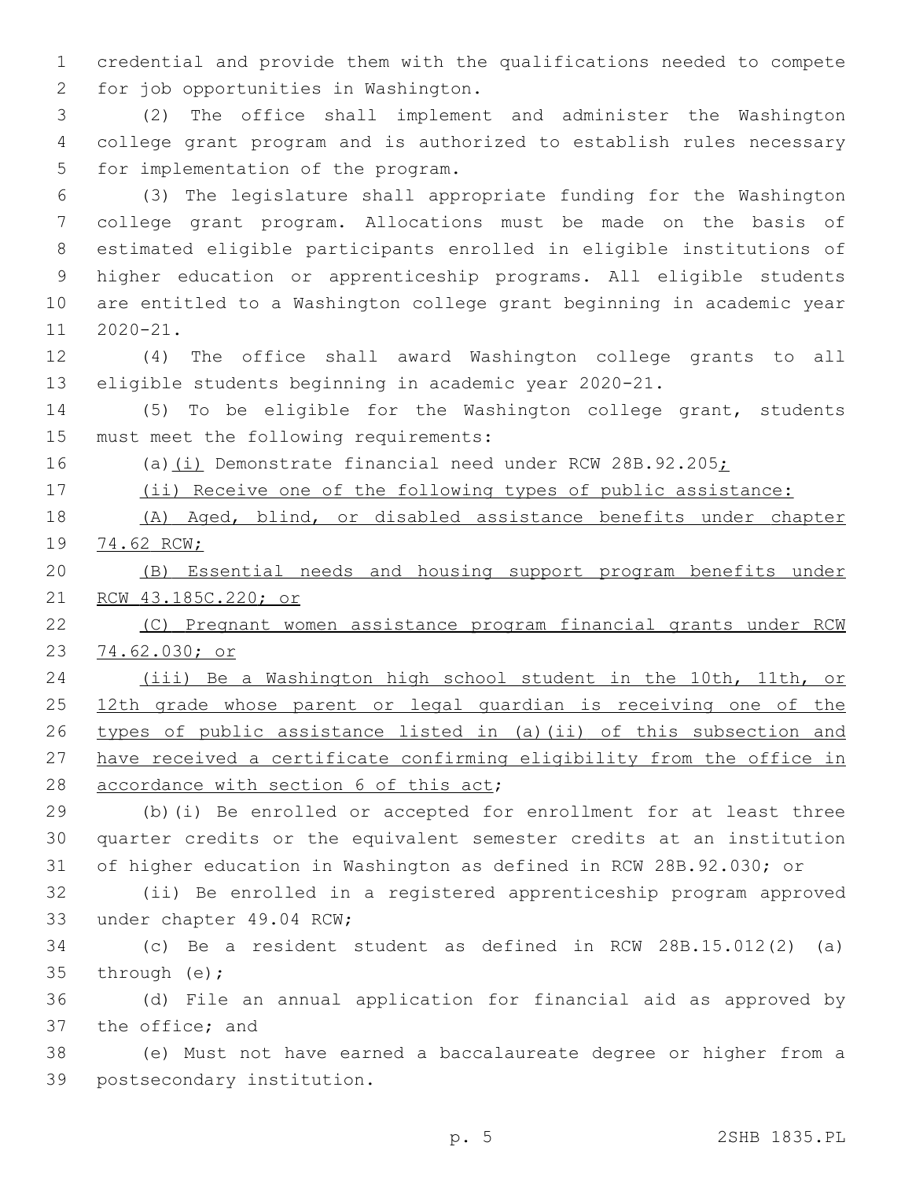credential and provide them with the qualifications needed to compete 2 for job opportunities in Washington.

 (2) The office shall implement and administer the Washington college grant program and is authorized to establish rules necessary 5 for implementation of the program.

 (3) The legislature shall appropriate funding for the Washington college grant program. Allocations must be made on the basis of estimated eligible participants enrolled in eligible institutions of higher education or apprenticeship programs. All eligible students are entitled to a Washington college grant beginning in academic year 11 2020-21.

 (4) The office shall award Washington college grants to all eligible students beginning in academic year 2020-21.

 (5) To be eligible for the Washington college grant, students 15 must meet the following requirements:

(a)(i) Demonstrate financial need under RCW 28B.92.205;

(ii) Receive one of the following types of public assistance:

 (A) Aged, blind, or disabled assistance benefits under chapter 74.62 RCW;

 (B) Essential needs and housing support program benefits under RCW 43.185C.220; or

 (C) Pregnant women assistance program financial grants under RCW 74.62.030; or

 (iii) Be a Washington high school student in the 10th, 11th, or 25 12th grade whose parent or legal guardian is receiving one of the types of public assistance listed in (a)(ii) of this subsection and have received a certificate confirming eligibility from the office in 28 accordance with section 6 of this act;

 (b)(i) Be enrolled or accepted for enrollment for at least three quarter credits or the equivalent semester credits at an institution of higher education in Washington as defined in RCW 28B.92.030; or

 (ii) Be enrolled in a registered apprenticeship program approved 33 under chapter 49.04 RCW;

 (c) Be a resident student as defined in RCW 28B.15.012(2) (a) 35 through  $(e)$ ;

 (d) File an annual application for financial aid as approved by 37 the office; and

 (e) Must not have earned a baccalaureate degree or higher from a 39 postsecondary institution.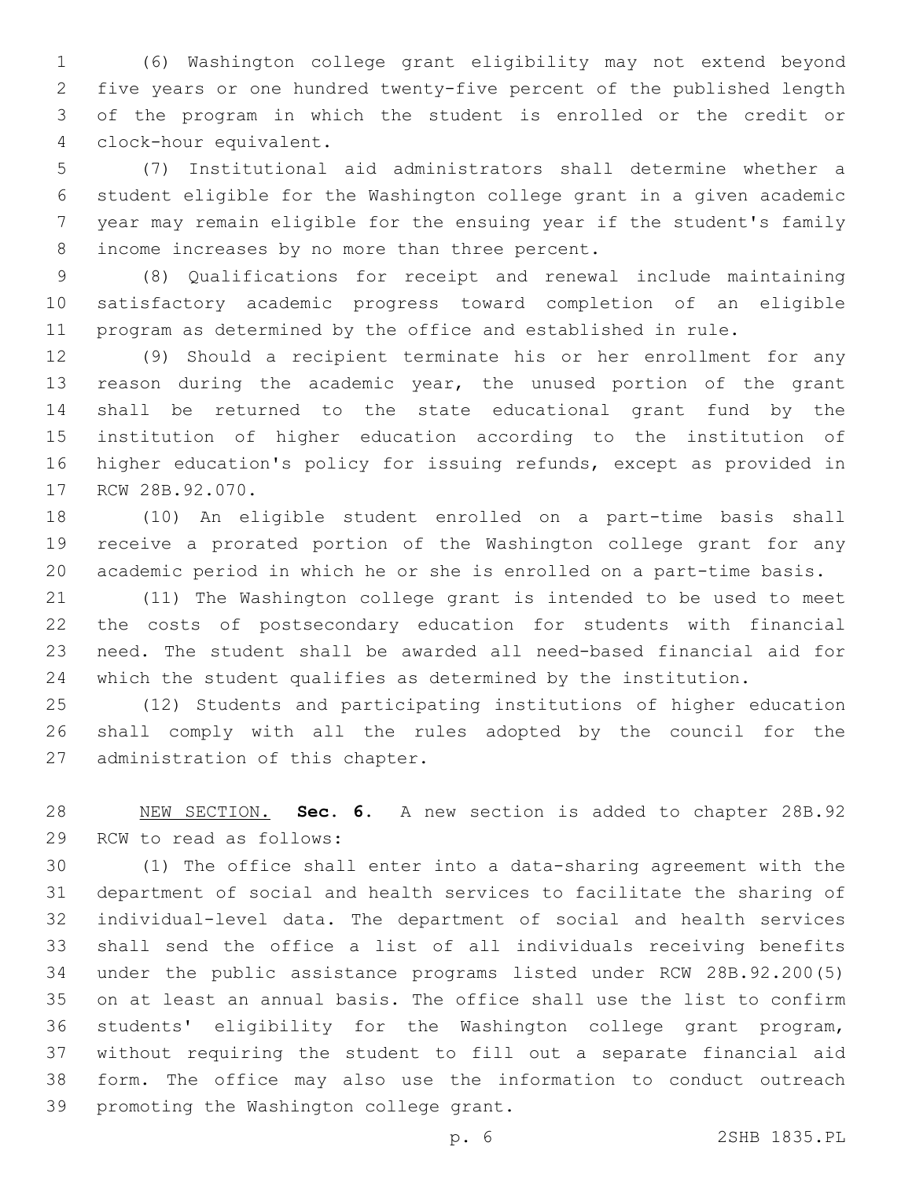(6) Washington college grant eligibility may not extend beyond five years or one hundred twenty-five percent of the published length of the program in which the student is enrolled or the credit or clock-hour equivalent.4

 (7) Institutional aid administrators shall determine whether a student eligible for the Washington college grant in a given academic year may remain eligible for the ensuing year if the student's family 8 income increases by no more than three percent.

 (8) Qualifications for receipt and renewal include maintaining satisfactory academic progress toward completion of an eligible program as determined by the office and established in rule.

 (9) Should a recipient terminate his or her enrollment for any reason during the academic year, the unused portion of the grant shall be returned to the state educational grant fund by the institution of higher education according to the institution of higher education's policy for issuing refunds, except as provided in 17 RCW 28B.92.070.

 (10) An eligible student enrolled on a part-time basis shall receive a prorated portion of the Washington college grant for any academic period in which he or she is enrolled on a part-time basis.

 (11) The Washington college grant is intended to be used to meet the costs of postsecondary education for students with financial need. The student shall be awarded all need-based financial aid for which the student qualifies as determined by the institution.

 (12) Students and participating institutions of higher education shall comply with all the rules adopted by the council for the 27 administration of this chapter.

 NEW SECTION. **Sec. 6.** A new section is added to chapter 28B.92 29 RCW to read as follows:

 (1) The office shall enter into a data-sharing agreement with the department of social and health services to facilitate the sharing of individual-level data. The department of social and health services shall send the office a list of all individuals receiving benefits under the public assistance programs listed under RCW 28B.92.200(5) on at least an annual basis. The office shall use the list to confirm students' eligibility for the Washington college grant program, without requiring the student to fill out a separate financial aid form. The office may also use the information to conduct outreach 39 promoting the Washington college grant.

p. 6 2SHB 1835.PL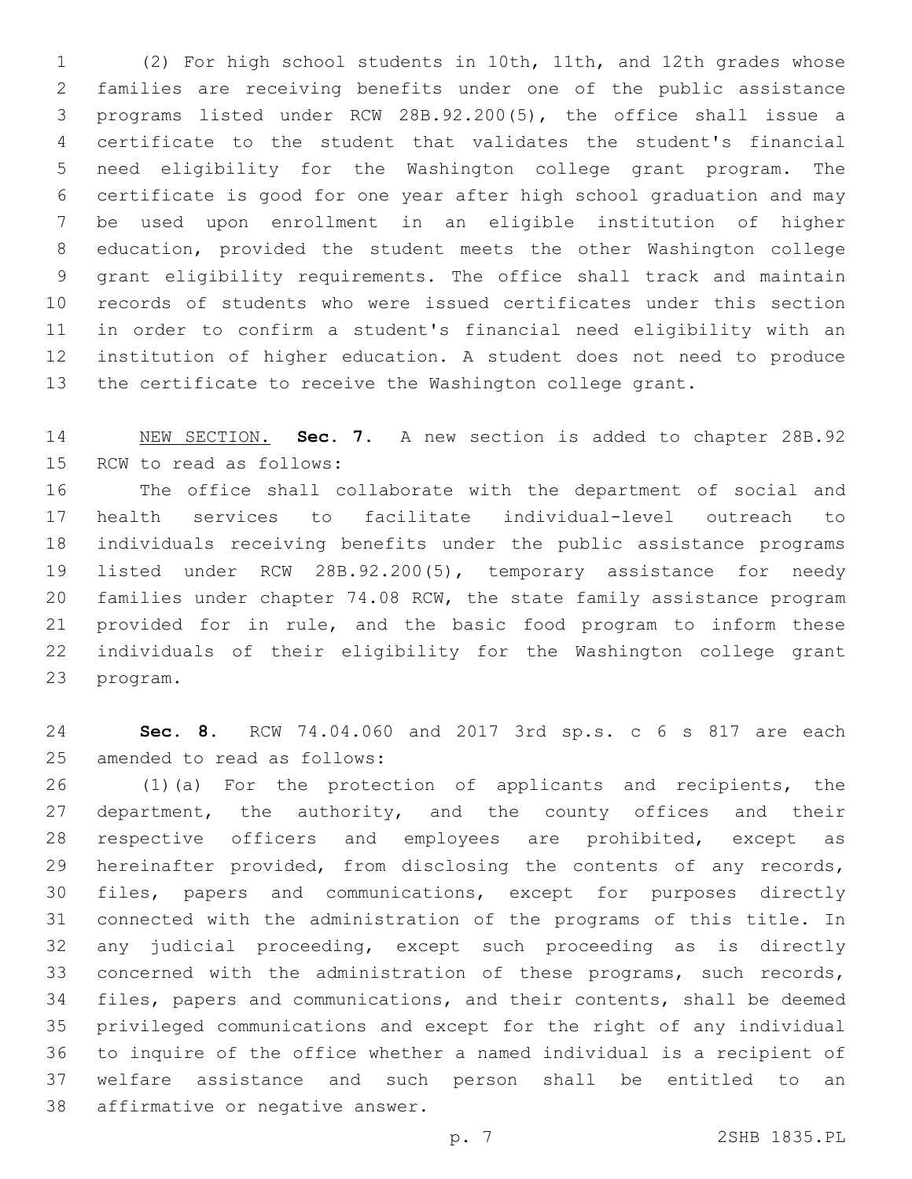(2) For high school students in 10th, 11th, and 12th grades whose families are receiving benefits under one of the public assistance programs listed under RCW 28B.92.200(5), the office shall issue a certificate to the student that validates the student's financial need eligibility for the Washington college grant program. The certificate is good for one year after high school graduation and may be used upon enrollment in an eligible institution of higher education, provided the student meets the other Washington college grant eligibility requirements. The office shall track and maintain records of students who were issued certificates under this section in order to confirm a student's financial need eligibility with an institution of higher education. A student does not need to produce the certificate to receive the Washington college grant.

 NEW SECTION. **Sec. 7.** A new section is added to chapter 28B.92 15 RCW to read as follows:

 The office shall collaborate with the department of social and health services to facilitate individual-level outreach to individuals receiving benefits under the public assistance programs listed under RCW 28B.92.200(5), temporary assistance for needy families under chapter 74.08 RCW, the state family assistance program provided for in rule, and the basic food program to inform these individuals of their eligibility for the Washington college grant 23 program.

 **Sec. 8.** RCW 74.04.060 and 2017 3rd sp.s. c 6 s 817 are each 25 amended to read as follows:

26 (1)(a) For the protection of applicants and recipients, the department, the authority, and the county offices and their 28 respective officers and employees are prohibited, except as hereinafter provided, from disclosing the contents of any records, files, papers and communications, except for purposes directly connected with the administration of the programs of this title. In any judicial proceeding, except such proceeding as is directly concerned with the administration of these programs, such records, files, papers and communications, and their contents, shall be deemed privileged communications and except for the right of any individual to inquire of the office whether a named individual is a recipient of welfare assistance and such person shall be entitled to an 38 affirmative or negative answer.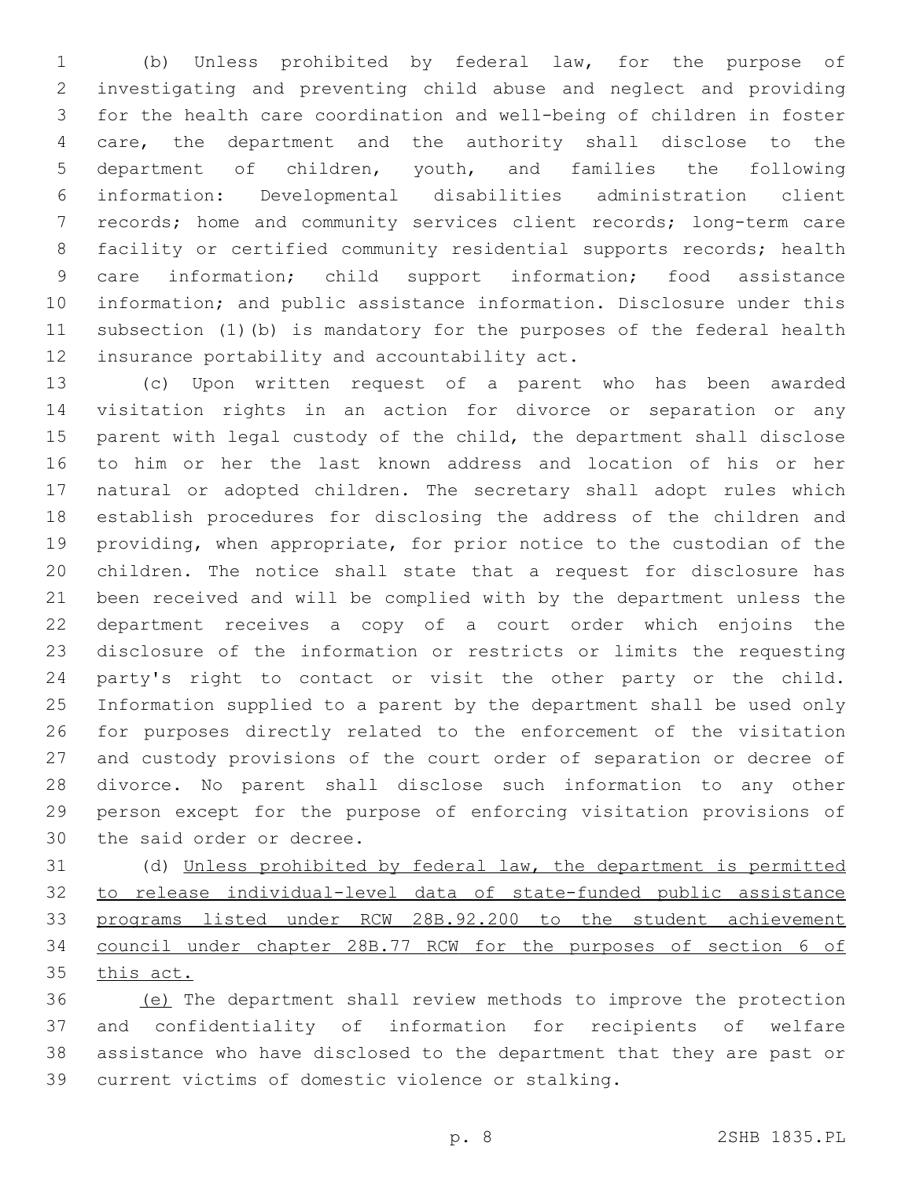(b) Unless prohibited by federal law, for the purpose of investigating and preventing child abuse and neglect and providing for the health care coordination and well-being of children in foster care, the department and the authority shall disclose to the department of children, youth, and families the following information: Developmental disabilities administration client records; home and community services client records; long-term care facility or certified community residential supports records; health care information; child support information; food assistance information; and public assistance information. Disclosure under this subsection (1)(b) is mandatory for the purposes of the federal health 12 insurance portability and accountability act.

 (c) Upon written request of a parent who has been awarded visitation rights in an action for divorce or separation or any parent with legal custody of the child, the department shall disclose to him or her the last known address and location of his or her natural or adopted children. The secretary shall adopt rules which establish procedures for disclosing the address of the children and providing, when appropriate, for prior notice to the custodian of the children. The notice shall state that a request for disclosure has been received and will be complied with by the department unless the department receives a copy of a court order which enjoins the disclosure of the information or restricts or limits the requesting party's right to contact or visit the other party or the child. Information supplied to a parent by the department shall be used only for purposes directly related to the enforcement of the visitation and custody provisions of the court order of separation or decree of divorce. No parent shall disclose such information to any other person except for the purpose of enforcing visitation provisions of 30 the said order or decree.

 (d) Unless prohibited by federal law, the department is permitted to release individual-level data of state-funded public assistance programs listed under RCW 28B.92.200 to the student achievement council under chapter 28B.77 RCW for the purposes of section 6 of this act.

 (e) The department shall review methods to improve the protection and confidentiality of information for recipients of welfare assistance who have disclosed to the department that they are past or 39 current victims of domestic violence or stalking.